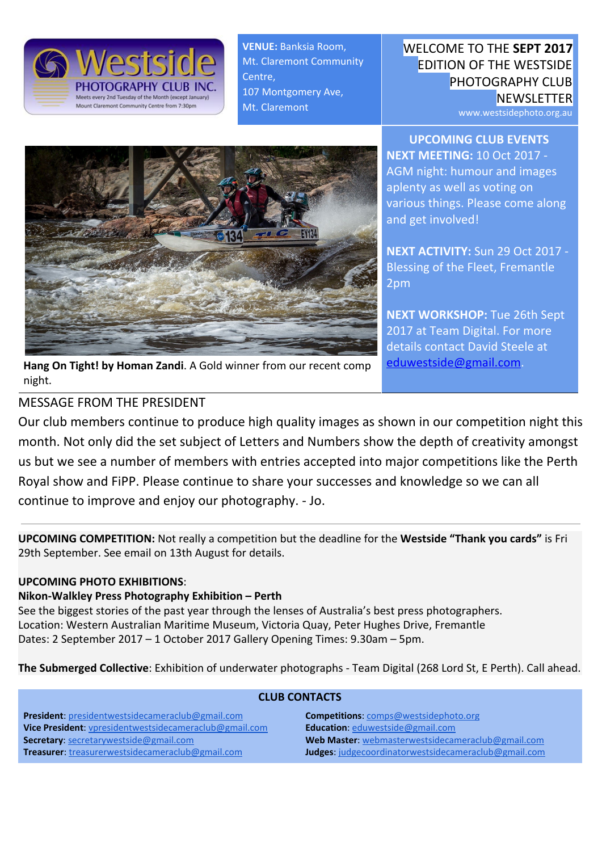

**VENUE:** Banksia Room, Mt. Claremont Community Centre, 107 Montgomery Ave, Mt. Claremont

WELCOME TO THE **SEPT 2017** EDITION OF THE WESTSIDE PHOTOGRAPHY CLUB **NEWSLETTER** 

**UPCOMING CLUB EVENTS NEXT MEETING:** 10 Oct 2017 - AGM night: humour and images aplenty as well as voting on

various things. Please come along

www.westsidephoto.org.au



**NEXT ACTIVITY:** Sun 29 Oct 2017 - Blessing of the Fleet, Fremantle 2pm

and get involved!

**NEXT WORKSHOP:** Tue 26th Sept 2017 at Team Digital. For more details contact David Steele at [eduwestside@gmail.com.](mailto:eduwestside@gmail.com)

**Hang On Tight! by Homan Zandi**. A Gold winner from our recent comp night.

## MESSAGE FROM THE PRESIDENT

Our club members continue to produce high quality images as shown in our competition night this month. Not only did the set subject of Letters and Numbers show the depth of creativity amongst us but we see a number of members with entries accepted into major competitions like the Perth Royal show and FiPP. Please continue to share your successes and knowledge so we can all continue to improve and enjoy our photography. - Jo.

**UPCOMING COMPETITION:** Not really a competition but the deadline for the **Westside "Thank you cards"** is Fri 29th September. See email on 13th August for details.

## **UPCOMING PHOTO EXHIBITIONS**:

#### **Nikon-Walkley Press Photography Exhibition – Perth**

See the biggest stories of the past year through the lenses of Australia's best press photographers. Location: Western Australian Maritime Museum, Victoria Quay, Peter Hughes Drive, Fremantle Dates: 2 September 2017 – 1 October 2017 Gallery Opening Times: 9.30am – 5pm.

**The Submerged Collective**: Exhibition of underwater photographs - Team Digital (268 Lord St, E Perth). Call ahead.

| <b>CLUB CONTACTS</b>                                    |                                                      |
|---------------------------------------------------------|------------------------------------------------------|
| <b>President:</b> presidentwestsidecameraclub@gmail.com | <b>Competitions:</b> comps@westsidephoto.org         |
| Vice President: vpresidentwestsidecameraclub@gmail.com  | Education: eduwestside@gmail.com                     |
| <b>Secretary: secretarywestside@gmail.com</b>           | Web Master: webmasterwestsidecameraclub@gmail.com    |
| Treasurer: treasurerwestsidecameraclub@gmail.com        | Judges: judgecoordinatorwestsidecameraclub@gmail.com |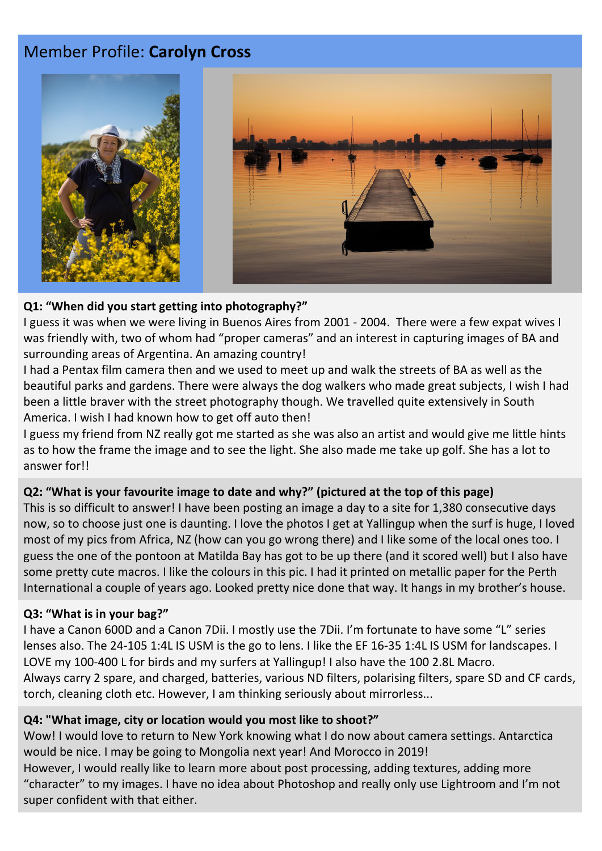# Member Profile: **Carolyn Cross**



#### **Q1: "When did you start getting into photography?"**

I guess it was when we were living in Buenos Aires from 2001 - 2004. There were a few expat wives I was friendly with, two of whom had "proper cameras" and an interest in capturing images of BA and surrounding areas of Argentina. An amazing country!

I had a Pentax film camera then and we used to meet up and walk the streets of BA as well as the beautiful parks and gardens. There were always the dog walkers who made great subjects, I wish I had been a little braver with the street photography though. We travelled quite extensively in South America. I wish I had known how to get off auto then!

I guess my friend from NZ really got me started as she was also an artist and would give me little hints as to how the frame the image and to see the light. She also made me take up golf. She has a lot to answer for!!

#### **Q2: "What is your favourite image to date and why?" (pictured at the top of this page)**

This is so difficult to answer! I have been posting an image a day to a site for 1,380 consecutive days now, so to choose just one is daunting. I love the photos I get at Yallingup when the surf is huge, I loved most of my pics from Africa, NZ (how can you go wrong there) and I like some of the local ones too. I guess the one of the pontoon at Matilda Bay has got to be up there (and it scored well) but I also have some pretty cute macros. I like the colours in this pic. I had it printed on metallic paper for the Perth International a couple of years ago. Looked pretty nice done that way. It hangs in my brother's house.

#### **Q3: "What is in your bag?"**

I have a Canon 600D and a Canon 7Dii. I mostly use the 7Dii. I'm fortunate to have some "L" series lenses also. The 24-105 1:4L IS USM is the go to lens. I like the EF 16-35 1:4L IS USM for landscapes. I LOVE my 100-400 L for birds and my surfers at Yallingup! I also have the 100 2.8L Macro. Always carry 2 spare, and charged, batteries, various ND filters, polarising filters, spare SD and CF cards, torch, cleaning cloth etc. However, I am thinking seriously about mirrorless...

#### **Q4: "What image, city or location would you most like to shoot?"**

Wow! I would love to return to New York knowing what I do now about camera settings. Antarctica would be nice. I may be going to Mongolia next year! And Morocco in 2019!

However, I would really like to learn more about post processing, adding textures, adding more "character" to my images. I have no idea about Photoshop and really only use Lightroom and I'm not super confident with that either.